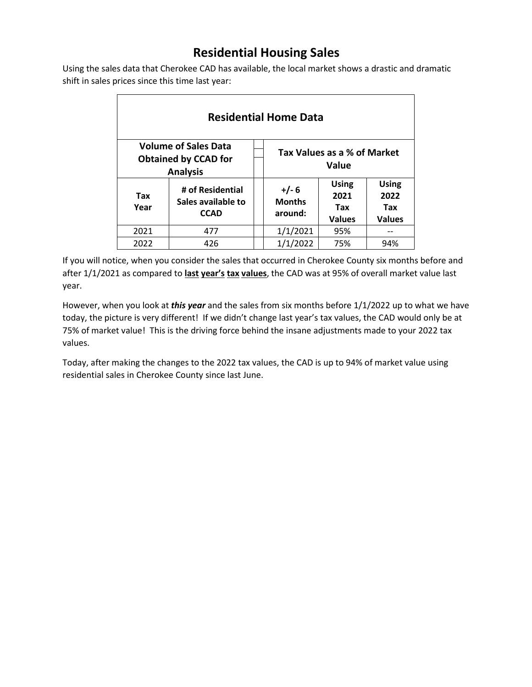## **Residential Housing Sales**

Using the sales data that Cherokee CAD has available, the local market shows a drastic and dramatic shift in sales prices since this time last year:

| <b>Residential Home Data</b>                                                  |                                                       |  |                                      |                                              |                                              |  |  |
|-------------------------------------------------------------------------------|-------------------------------------------------------|--|--------------------------------------|----------------------------------------------|----------------------------------------------|--|--|
| <b>Volume of Sales Data</b><br><b>Obtained by CCAD for</b><br><b>Analysis</b> |                                                       |  | Tax Values as a % of Market<br>Value |                                              |                                              |  |  |
| Tax<br>Year                                                                   | # of Residential<br>Sales available to<br><b>CCAD</b> |  | $+/- 6$<br><b>Months</b><br>around:  | <b>Using</b><br>2021<br>Tax<br><b>Values</b> | <b>Using</b><br>2022<br>Tax<br><b>Values</b> |  |  |
| 2021                                                                          | 477                                                   |  | 1/1/2021                             | 95%                                          |                                              |  |  |
| 2022                                                                          | 426                                                   |  | 1/1/2022                             | 75%                                          | 94%                                          |  |  |

If you will notice, when you consider the sales that occurred in Cherokee County six months before and after 1/1/2021 as compared to **last year's tax values**, the CAD was at 95% of overall market value last year.

However, when you look at *this year* and the sales from six months before 1/1/2022 up to what we have today, the picture is very different! If we didn't change last year's tax values, the CAD would only be at 75% of market value! This is the driving force behind the insane adjustments made to your 2022 tax values.

Today, after making the changes to the 2022 tax values, the CAD is up to 94% of market value using residential sales in Cherokee County since last June.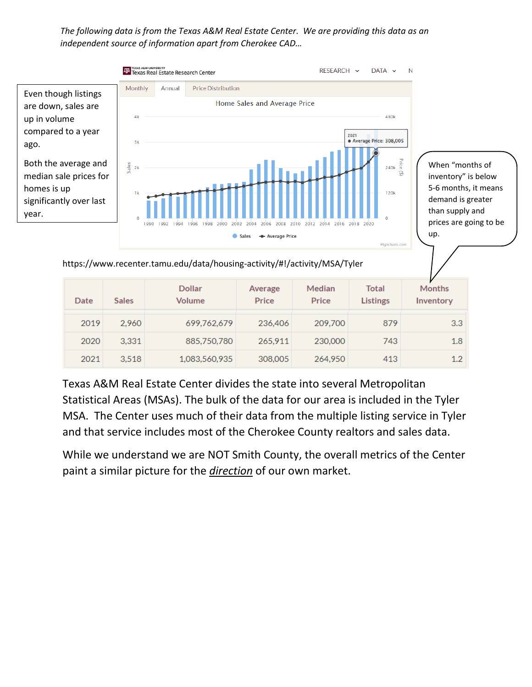*The following data is from the Texas A&M Real Estate Center. We are providing this data as an independent source of information apart from Cherokee CAD…*



https://www.recenter.tamu.edu/data/housing-activity/#!/activity/MSA/Tyler

| Date | <b>Sales</b> | <b>Dollar</b><br><b>Volume</b> | Average<br>Price | Median<br>Price | Total<br><b>Listings</b> | <b>Months</b><br>Inventory |
|------|--------------|--------------------------------|------------------|-----------------|--------------------------|----------------------------|
| 2019 | 2.960        | 699.762.679                    | 236,406          | 209,700         | 879                      | 3.3                        |
| 2020 | 3.331        | 885,750,780                    | 265.911          | 230,000         | 743                      | 1.8                        |
| 2021 | 3.518        | 1,083,560,935                  | 308,005          | 264,950         | 413                      | 1.2                        |

Texas A&M Real Estate Center divides the state into several Metropolitan Statistical Areas (MSAs). The bulk of the data for our area is included in the Tyler MSA. The Center uses much of their data from the multiple listing service in Tyler and that service includes most of the Cherokee County realtors and sales data.

While we understand we are NOT Smith County, the overall metrics of the Center paint a similar picture for the *direction* of our own market.